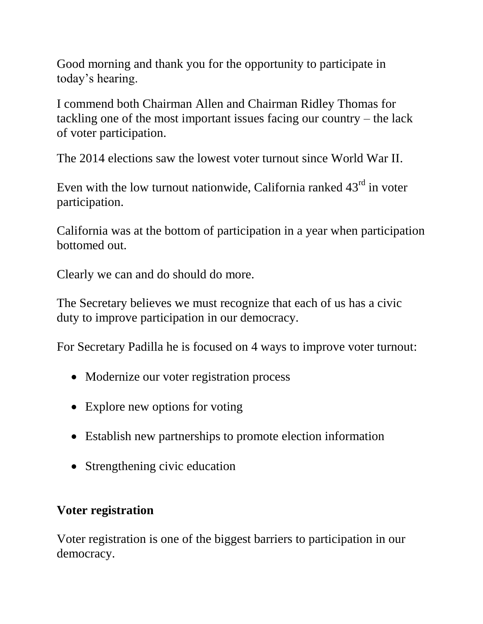Good morning and thank you for the opportunity to participate in today's hearing.

I commend both Chairman Allen and Chairman Ridley Thomas for tackling one of the most important issues facing our country – the lack of voter participation.

The 2014 elections saw the lowest voter turnout since World War II.

Even with the low turnout nationwide, California ranked  $43<sup>rd</sup>$  in voter participation.

California was at the bottom of participation in a year when participation bottomed out.

Clearly we can and do should do more.

The Secretary believes we must recognize that each of us has a civic duty to improve participation in our democracy.

For Secretary Padilla he is focused on 4 ways to improve voter turnout:

- Modernize our voter registration process
- Explore new options for voting
- Establish new partnerships to promote election information
- Strengthening civic education

# **Voter registration**

Voter registration is one of the biggest barriers to participation in our democracy.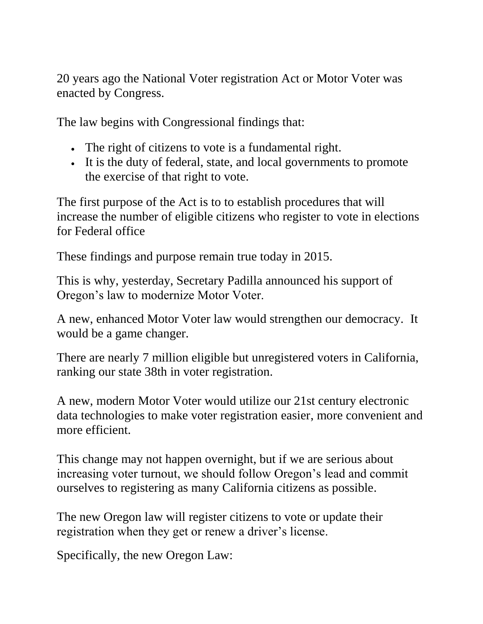20 years ago the National Voter registration Act or Motor Voter was enacted by Congress.

The law begins with Congressional findings that:

- The right of citizens to vote is a fundamental right.
- It is the duty of federal, state, and local governments to promote the exercise of that right to vote.

The first purpose of the Act is to to establish procedures that will increase the number of eligible citizens who register to vote in elections for Federal office

These findings and purpose remain true today in 2015.

This is why, yesterday, Secretary Padilla announced his support of Oregon's law to modernize Motor Voter.

A new, enhanced Motor Voter law would strengthen our democracy. It would be a game changer.

There are nearly 7 million eligible but unregistered voters in California, ranking our state 38th in voter registration.

A new, modern Motor Voter would utilize our 21st century electronic data technologies to make voter registration easier, more convenient and more efficient.

This change may not happen overnight, but if we are serious about increasing voter turnout, we should follow Oregon's lead and commit ourselves to registering as many California citizens as possible.

The new Oregon law will register citizens to vote or update their registration when they get or renew a driver's license.

Specifically, the new Oregon Law: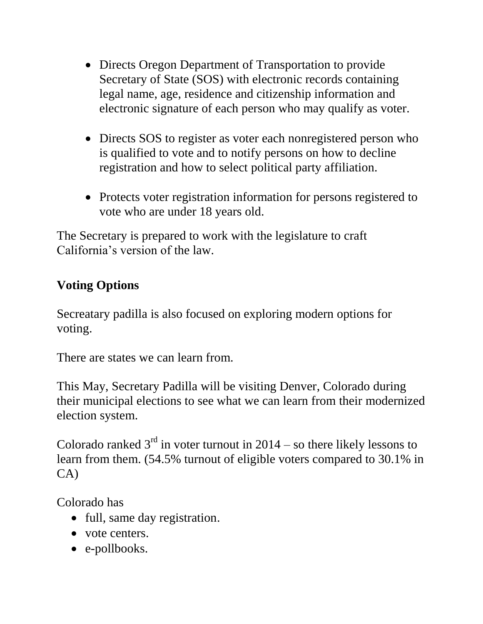- Directs Oregon Department of Transportation to provide Secretary of State (SOS) with electronic records containing legal name, age, residence and citizenship information and electronic signature of each person who may qualify as voter.
- Directs SOS to register as voter each nonregistered person who is qualified to vote and to notify persons on how to decline registration and how to select political party affiliation.
- Protects voter registration information for persons registered to vote who are under 18 years old.

The Secretary is prepared to work with the legislature to craft California's version of the law.

### **Voting Options**

Secreatary padilla is also focused on exploring modern options for voting.

There are states we can learn from.

This May, Secretary Padilla will be visiting Denver, Colorado during their municipal elections to see what we can learn from their modernized election system.

Colorado ranked  $3<sup>rd</sup>$  in voter turnout in 2014 – so there likely lessons to learn from them. (54.5% turnout of eligible voters compared to 30.1% in CA)

Colorado has

- full, same day registration.
- vote centers.
- e-pollbooks.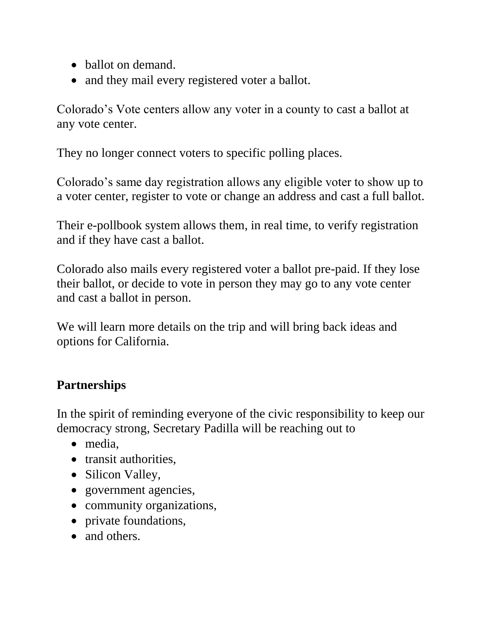- ballot on demand.
- and they mail every registered voter a ballot.

Colorado's Vote centers allow any voter in a county to cast a ballot at any vote center.

They no longer connect voters to specific polling places.

Colorado's same day registration allows any eligible voter to show up to a voter center, register to vote or change an address and cast a full ballot.

Their e-pollbook system allows them, in real time, to verify registration and if they have cast a ballot.

Colorado also mails every registered voter a ballot pre-paid. If they lose their ballot, or decide to vote in person they may go to any vote center and cast a ballot in person.

We will learn more details on the trip and will bring back ideas and options for California.

# **Partnerships**

In the spirit of reminding everyone of the civic responsibility to keep our democracy strong, Secretary Padilla will be reaching out to

- media,
- transit authorities.
- Silicon Valley,
- government agencies,
- community organizations,
- private foundations,
- and others.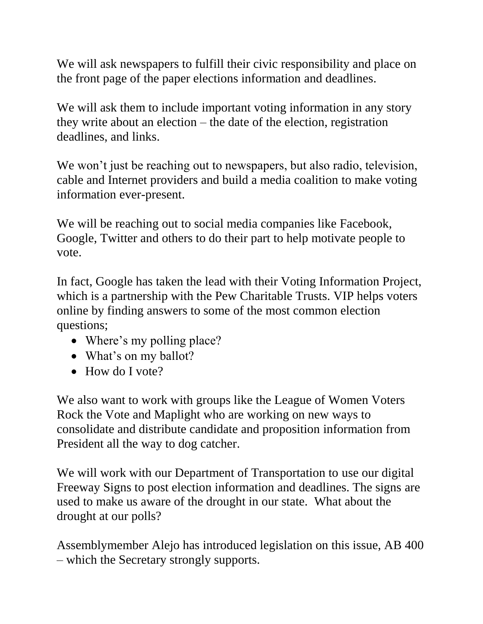We will ask newspapers to fulfill their civic responsibility and place on the front page of the paper elections information and deadlines.

We will ask them to include important voting information in any story they write about an election – the date of the election, registration deadlines, and links.

We won't just be reaching out to newspapers, but also radio, television, cable and Internet providers and build a media coalition to make voting information ever-present.

We will be reaching out to social media companies like Facebook, Google, Twitter and others to do their part to help motivate people to vote.

In fact, Google has taken the lead with their Voting Information Project, which is a partnership with the Pew Charitable Trusts. VIP helps voters online by finding answers to some of the most common election questions;

- Where's my polling place?
- What's on my ballot?
- How do I vote?

We also want to work with groups like the League of Women Voters Rock the Vote and Maplight who are working on new ways to consolidate and distribute candidate and proposition information from President all the way to dog catcher.

We will work with our Department of Transportation to use our digital Freeway Signs to post election information and deadlines. The signs are used to make us aware of the drought in our state. What about the drought at our polls?

Assemblymember Alejo has introduced legislation on this issue, AB 400 – which the Secretary strongly supports.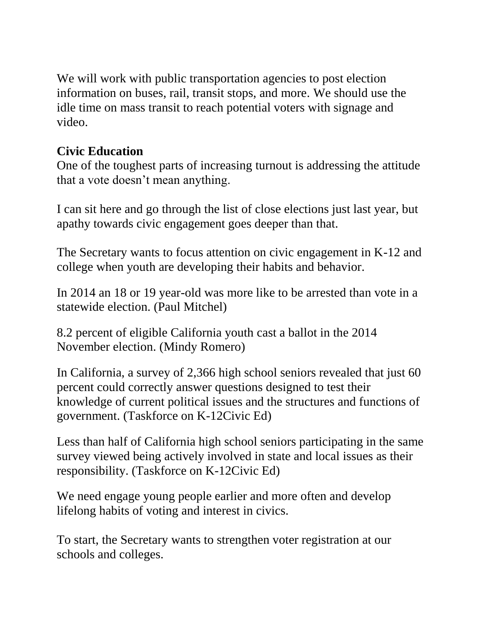We will work with public transportation agencies to post election information on buses, rail, transit stops, and more. We should use the idle time on mass transit to reach potential voters with signage and video.

#### **Civic Education**

One of the toughest parts of increasing turnout is addressing the attitude that a vote doesn't mean anything.

I can sit here and go through the list of close elections just last year, but apathy towards civic engagement goes deeper than that.

The Secretary wants to focus attention on civic engagement in K-12 and college when youth are developing their habits and behavior.

In 2014 an 18 or 19 year-old was more like to be arrested than vote in a statewide election. (Paul Mitchel)

8.2 percent of eligible California youth cast a ballot in the 2014 November election. (Mindy Romero)

In California, a survey of 2,366 high school seniors revealed that just 60 percent could correctly answer questions designed to test their knowledge of current political issues and the structures and functions of government. (Taskforce on K-12Civic Ed)

Less than half of California high school seniors participating in the same survey viewed being actively involved in state and local issues as their responsibility. (Taskforce on K-12Civic Ed)

We need engage young people earlier and more often and develop lifelong habits of voting and interest in civics.

To start, the Secretary wants to strengthen voter registration at our schools and colleges.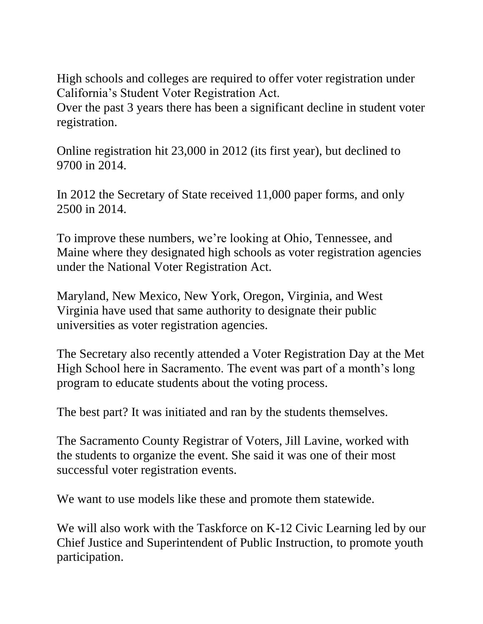High schools and colleges are required to offer voter registration under California's Student Voter Registration Act.

Over the past 3 years there has been a significant decline in student voter registration.

Online registration hit 23,000 in 2012 (its first year), but declined to 9700 in 2014.

In 2012 the Secretary of State received 11,000 paper forms, and only 2500 in 2014.

To improve these numbers, we're looking at Ohio, Tennessee, and Maine where they designated high schools as voter registration agencies under the National Voter Registration Act.

Maryland, New Mexico, New York, Oregon, Virginia, and West Virginia have used that same authority to designate their public universities as voter registration agencies.

The Secretary also recently attended a Voter Registration Day at the Met High School here in Sacramento. The event was part of a month's long program to educate students about the voting process.

The best part? It was initiated and ran by the students themselves.

The Sacramento County Registrar of Voters, Jill Lavine, worked with the students to organize the event. She said it was one of their most successful voter registration events.

We want to use models like these and promote them statewide.

We will also work with the Taskforce on K-12 Civic Learning led by our Chief Justice and Superintendent of Public Instruction, to promote youth participation.